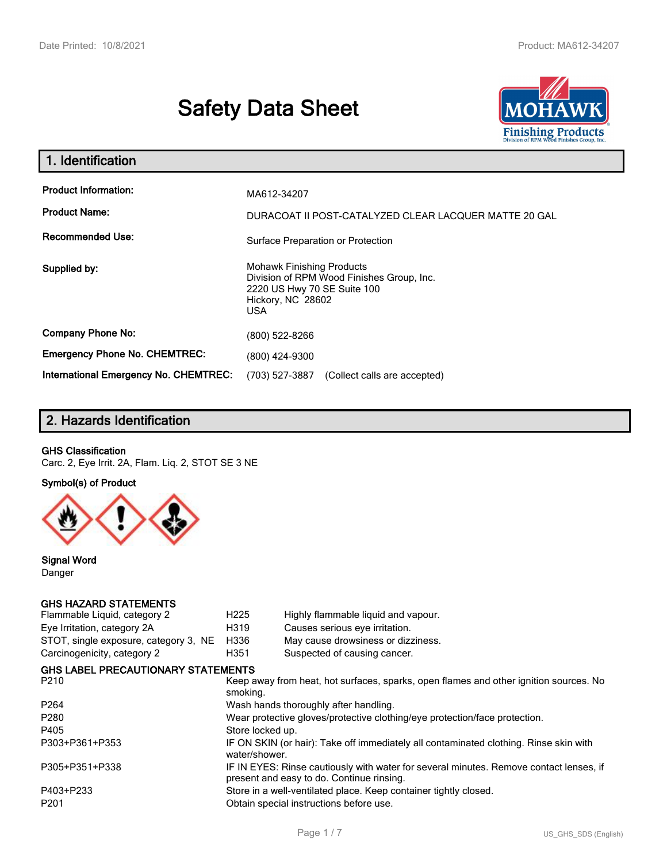# **Safety Data Sheet**



| 1. Identification                                                              |                                                                                                                                          |
|--------------------------------------------------------------------------------|------------------------------------------------------------------------------------------------------------------------------------------|
| <b>Product Information:</b><br><b>Product Name:</b><br><b>Recommended Use:</b> | MA612-34207<br>DURACOAT II POST-CATALYZED CLEAR LACQUER MATTE 20 GAL<br>Surface Preparation or Protection                                |
| Supplied by:                                                                   | <b>Mohawk Finishing Products</b><br>Division of RPM Wood Finishes Group, Inc.<br>2220 US Hwy 70 SE Suite 100<br>Hickory, NC 28602<br>USA |
| <b>Company Phone No:</b>                                                       | (800) 522-8266                                                                                                                           |
| <b>Emergency Phone No. CHEMTREC:</b>                                           | (800) 424-9300                                                                                                                           |
| International Emergency No. CHEMTREC:                                          | (703) 527-3887<br>(Collect calls are accepted)                                                                                           |

# **2. Hazards Identification**

### **GHS Classification**

Carc. 2, Eye Irrit. 2A, Flam. Liq. 2, STOT SE 3 NE

### **Symbol(s) of Product**



**Signal Word** Danger

#### **GHS HAZARD STATEMENTS**

| H <sub>225</sub>                                                                                                                    | Highly flammable liquid and vapour.                                                   |  |
|-------------------------------------------------------------------------------------------------------------------------------------|---------------------------------------------------------------------------------------|--|
| H319                                                                                                                                | Causes serious eye irritation.                                                        |  |
| H336                                                                                                                                | May cause drowsiness or dizziness.                                                    |  |
| H351                                                                                                                                | Suspected of causing cancer.                                                          |  |
| <b>GHS LABEL PRECAUTIONARY STATEMENTS</b>                                                                                           |                                                                                       |  |
| smoking.                                                                                                                            | Keep away from heat, hot surfaces, sparks, open flames and other ignition sources. No |  |
|                                                                                                                                     | Wash hands thoroughly after handling.                                                 |  |
| Wear protective gloves/protective clothing/eye protection/face protection.                                                          |                                                                                       |  |
| Store locked up.                                                                                                                    |                                                                                       |  |
| water/shower.                                                                                                                       | IF ON SKIN (or hair): Take off immediately all contaminated clothing. Rinse skin with |  |
| IF IN EYES: Rinse cautiously with water for several minutes. Remove contact lenses, if<br>present and easy to do. Continue rinsing. |                                                                                       |  |
| Store in a well-ventilated place. Keep container tightly closed.                                                                    |                                                                                       |  |
|                                                                                                                                     | Obtain special instructions before use.                                               |  |
|                                                                                                                                     |                                                                                       |  |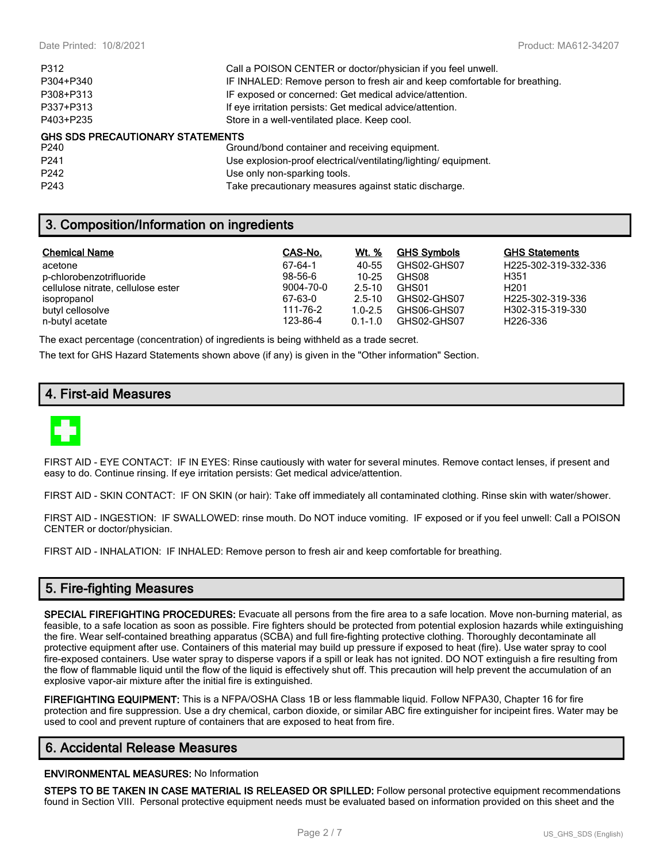| P312                                    | Call a POISON CENTER or doctor/physician if you feel unwell.               |
|-----------------------------------------|----------------------------------------------------------------------------|
| P304+P340                               | IF INHALED: Remove person to fresh air and keep comfortable for breathing. |
| P308+P313                               | IF exposed or concerned: Get medical advice/attention.                     |
| P337+P313                               | If eye irritation persists: Get medical advice/attention.                  |
| P403+P235                               | Store in a well-ventilated place. Keep cool.                               |
| <b>GHS SDS PRECAUTIONARY STATEMENTS</b> |                                                                            |
| P240                                    | Ground/bond container and receiving equipment.                             |
| P <sub>241</sub>                        | Use explosion-proof electrical/ventilating/lighting/equipment.             |
| P <sub>242</sub>                        | Use only non-sparking tools.                                               |

# **3. Composition/Information on ingredients**

| <b>Chemical Name</b>               | CAS-No.   | Wt. %       | <b>GHS Symbols</b> | <b>GHS Statements</b>         |
|------------------------------------|-----------|-------------|--------------------|-------------------------------|
| acetone                            | 67-64-1   | 40-55       | GHS02-GHS07        | H225-302-319-332-336          |
| p-chlorobenzotrifluoride           | $98-56-6$ | 10-25       | GHS08              | H351                          |
| cellulose nitrate, cellulose ester | 9004-70-0 | 2.5-10      | GHS01              | H <sub>201</sub>              |
| isopropanol                        | 67-63-0   | 2.5-10      | GHS02-GHS07        | H <sub>225</sub> -302-319-336 |
| butyl cellosolve                   | 111-76-2  | $1.0 - 2.5$ | GHS06-GHS07        | H302-315-319-330              |
| n-butyl acetate                    | 123-86-4  | $0.1 - 1.0$ | GHS02-GHS07        | H <sub>226</sub> -336         |

The exact percentage (concentration) of ingredients is being withheld as a trade secret.

The text for GHS Hazard Statements shown above (if any) is given in the "Other information" Section.

P243 Take precautionary measures against static discharge.

# **4. First-aid Measures**



FIRST AID - EYE CONTACT: IF IN EYES: Rinse cautiously with water for several minutes. Remove contact lenses, if present and easy to do. Continue rinsing. If eye irritation persists: Get medical advice/attention.

FIRST AID - SKIN CONTACT: IF ON SKIN (or hair): Take off immediately all contaminated clothing. Rinse skin with water/shower.

FIRST AID - INGESTION: IF SWALLOWED: rinse mouth. Do NOT induce vomiting. IF exposed or if you feel unwell: Call a POISON CENTER or doctor/physician.

FIRST AID - INHALATION: IF INHALED: Remove person to fresh air and keep comfortable for breathing.

# **5. Fire-fighting Measures**

**SPECIAL FIREFIGHTING PROCEDURES:** Evacuate all persons from the fire area to a safe location. Move non-burning material, as feasible, to a safe location as soon as possible. Fire fighters should be protected from potential explosion hazards while extinguishing the fire. Wear self-contained breathing apparatus (SCBA) and full fire-fighting protective clothing. Thoroughly decontaminate all protective equipment after use. Containers of this material may build up pressure if exposed to heat (fire). Use water spray to cool fire-exposed containers. Use water spray to disperse vapors if a spill or leak has not ignited. DO NOT extinguish a fire resulting from the flow of flammable liquid until the flow of the liquid is effectively shut off. This precaution will help prevent the accumulation of an explosive vapor-air mixture after the initial fire is extinguished.

**FIREFIGHTING EQUIPMENT:** This is a NFPA/OSHA Class 1B or less flammable liquid. Follow NFPA30, Chapter 16 for fire protection and fire suppression. Use a dry chemical, carbon dioxide, or similar ABC fire extinguisher for incipeint fires. Water may be used to cool and prevent rupture of containers that are exposed to heat from fire.

# **6. Accidental Release Measures**

#### **ENVIRONMENTAL MEASURES:** No Information

**STEPS TO BE TAKEN IN CASE MATERIAL IS RELEASED OR SPILLED:** Follow personal protective equipment recommendations found in Section VIII. Personal protective equipment needs must be evaluated based on information provided on this sheet and the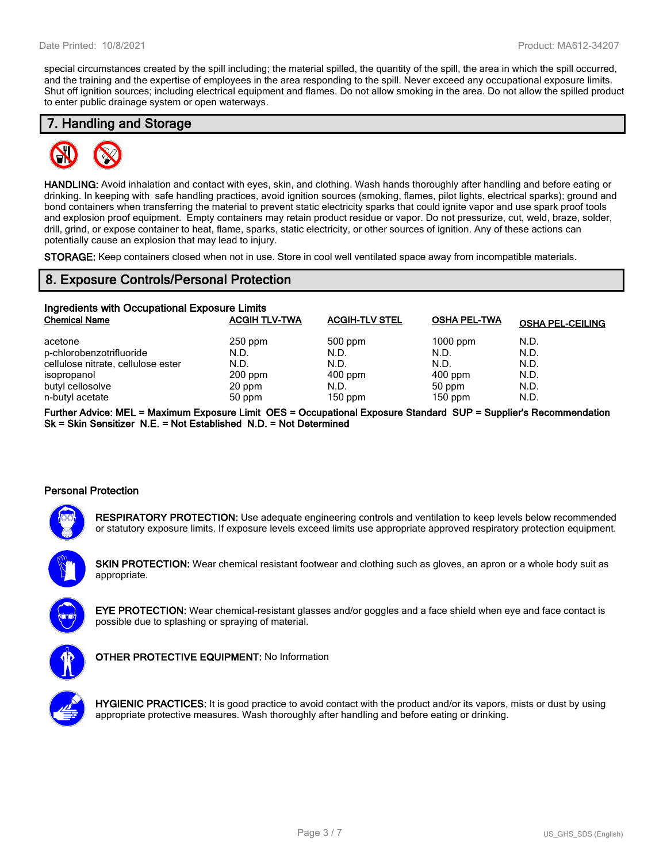special circumstances created by the spill including; the material spilled, the quantity of the spill, the area in which the spill occurred, and the training and the expertise of employees in the area responding to the spill. Never exceed any occupational exposure limits. Shut off ignition sources; including electrical equipment and flames. Do not allow smoking in the area. Do not allow the spilled product to enter public drainage system or open waterways.

## **7. Handling and Storage**



**HANDLING:** Avoid inhalation and contact with eyes, skin, and clothing. Wash hands thoroughly after handling and before eating or drinking. In keeping with safe handling practices, avoid ignition sources (smoking, flames, pilot lights, electrical sparks); ground and bond containers when transferring the material to prevent static electricity sparks that could ignite vapor and use spark proof tools and explosion proof equipment. Empty containers may retain product residue or vapor. Do not pressurize, cut, weld, braze, solder, drill, grind, or expose container to heat, flame, sparks, static electricity, or other sources of ignition. Any of these actions can potentially cause an explosion that may lead to injury.

**STORAGE:** Keep containers closed when not in use. Store in cool well ventilated space away from incompatible materials.

### **8. Exposure Controls/Personal Protection**

| Ingredients with Occupational Exposure Limits |                      |                       |                     |                         |  |
|-----------------------------------------------|----------------------|-----------------------|---------------------|-------------------------|--|
| <b>Chemical Name</b>                          | <b>ACGIH TLV-TWA</b> | <b>ACGIH-TLV STEL</b> | <b>OSHA PEL-TWA</b> | <b>OSHA PEL-CEILING</b> |  |
| acetone                                       | $250$ ppm            | 500 ppm               | $1000$ ppm          | N.D.                    |  |
| p-chlorobenzotrifluoride                      | N.D.                 | N.D.                  | N.D.                | N.D.                    |  |
| cellulose nitrate, cellulose ester            | N.D.                 | N.D.                  | N.D.                | N.D.                    |  |
| isopropanol                                   | $200$ ppm            | $400$ ppm             | $400$ ppm           | N.D.                    |  |
| butyl cellosolve                              | 20 ppm               | N.D.                  | 50 ppm              | N.D.                    |  |
| n-butyl acetate                               | 50 ppm               | $150$ ppm             | $150$ ppm           | N.D.                    |  |

**Further Advice: MEL = Maximum Exposure Limit OES = Occupational Exposure Standard SUP = Supplier's Recommendation Sk = Skin Sensitizer N.E. = Not Established N.D. = Not Determined**

### **Personal Protection**



**RESPIRATORY PROTECTION:** Use adequate engineering controls and ventilation to keep levels below recommended or statutory exposure limits. If exposure levels exceed limits use appropriate approved respiratory protection equipment.

**SKIN PROTECTION:** Wear chemical resistant footwear and clothing such as gloves, an apron or a whole body suit as appropriate.

**EYE PROTECTION:** Wear chemical-resistant glasses and/or goggles and a face shield when eye and face contact is possible due to splashing or spraying of material.



**OTHER PROTECTIVE EQUIPMENT:** No Information



**HYGIENIC PRACTICES:** It is good practice to avoid contact with the product and/or its vapors, mists or dust by using appropriate protective measures. Wash thoroughly after handling and before eating or drinking.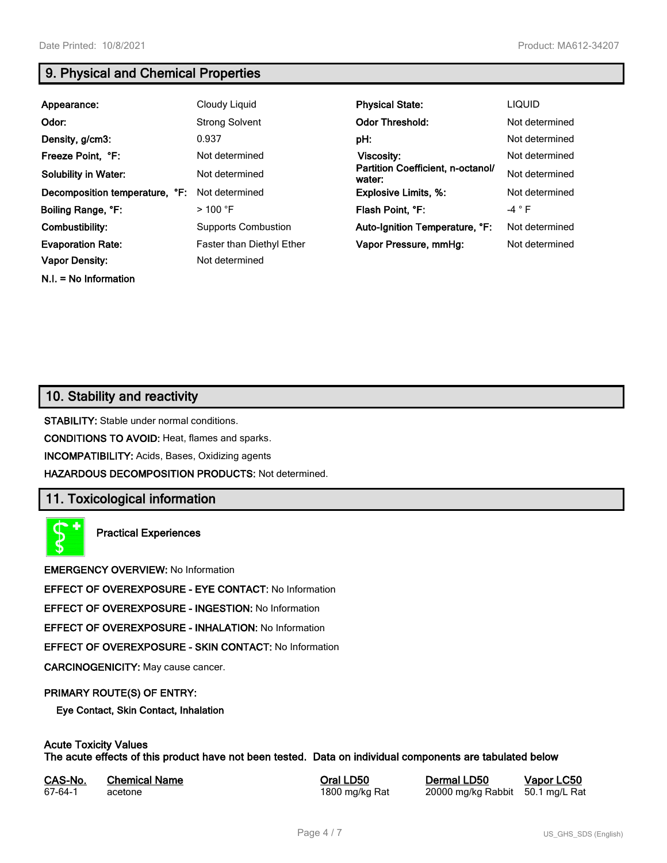**N.I. = No Information**

# **9. Physical and Chemical Properties**

| Appearance:                    | Cloudy Liquid              | <b>Physical State:</b>                      | <b>LIQUID</b>  |
|--------------------------------|----------------------------|---------------------------------------------|----------------|
| Odor:                          | <b>Strong Solvent</b>      | <b>Odor Threshold:</b>                      | Not determined |
| Density, g/cm3:                | 0.937                      | pH:                                         | Not determined |
| Freeze Point, °F:              | Not determined             | Viscosity:                                  | Not determined |
| <b>Solubility in Water:</b>    | Not determined             | Partition Coefficient, n-octanol/<br>water: | Not determined |
| Decomposition temperature, °F: | Not determined             | <b>Explosive Limits, %:</b>                 | Not determined |
| Boiling Range, °F:             | $>100$ °F                  | Flash Point, °F:                            | -4 $\degree$ F |
| Combustibility:                | <b>Supports Combustion</b> | Auto-Ignition Temperature, °F:              | Not determined |
| <b>Evaporation Rate:</b>       | Faster than Diethyl Ether  | Vapor Pressure, mmHg:                       | Not determined |
| <b>Vapor Density:</b>          | Not determined             |                                             |                |

# **10. Stability and reactivity**

**STABILITY:** Stable under normal conditions.

**CONDITIONS TO AVOID:** Heat, flames and sparks.

**INCOMPATIBILITY:** Acids, Bases, Oxidizing agents

**HAZARDOUS DECOMPOSITION PRODUCTS:** Not determined.

# **11. Toxicological information**

**Practical Experiences**

**EMERGENCY OVERVIEW:** No Information

**EFFECT OF OVEREXPOSURE - EYE CONTACT:** No Information

**EFFECT OF OVEREXPOSURE - INGESTION:** No Information

**EFFECT OF OVEREXPOSURE - INHALATION:** No Information

**EFFECT OF OVEREXPOSURE - SKIN CONTACT:** No Information

**CARCINOGENICITY:** May cause cancer.

### **PRIMARY ROUTE(S) OF ENTRY:**

**Eye Contact, Skin Contact, Inhalation**

# **Acute Toxicity Values**

**The acute effects of this product have not been tested. Data on individual components are tabulated below**

| CAS-No. | <b>Chemical Name</b> |  |
|---------|----------------------|--|
| 67-64-1 | acetone              |  |

**CASA-No. 2018 CONO. In the CASE CASE CONOCO CONOCO CONOCO CONOCO CONOCO CONOCO CONOCO CONOCO CONOCO CONOCO CONOCO CONOCO CONOCO CONOCO CONOCO CONOCO CONOCO CONOCO CONOCO CONOCO CONOCO CONOCO CONOCO CONOCO CONOCO CONOCO** 1800 mg/kg Rat 20000 mg/kg Rabbit 50.1 mg/L Rat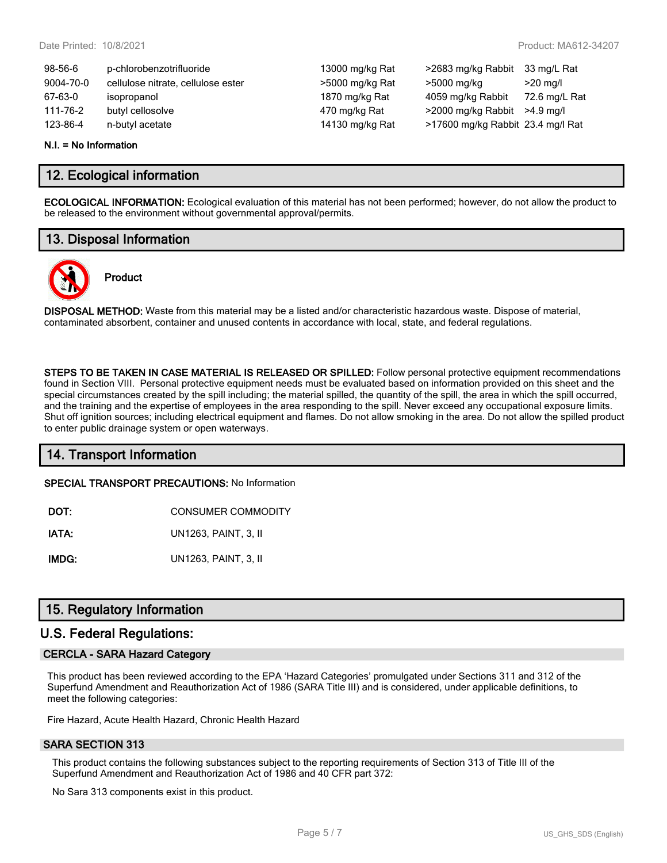13000 mg/kg Rat >2683 mg/kg Rabbit 33 mg/L Rat >5000 mg/kg Rat >5000 mg/kg >20 mg/l 1870 mg/kg Rat 4059 mg/kg Rabbit 72.6 mg/L Rat 170 mg/kg Rat  $>$ 2000 mg/kg Rabbit >4.9 mg/l 14130 mg/kg Rat >17600 mg/kg Rabbit 23.4 mg/l Rat

| $98 - 56 - 6$ | p-chlorobenzotrifluoride           |
|---------------|------------------------------------|
| 9004-70-0     | cellulose nitrate, cellulose ester |
| 67-63-0       | isopropanol                        |
| 111-76-2      | butyl cellosolve                   |
| 123-86-4      | n-butyl acetate                    |

#### **N.I. = No Information**

# **12. Ecological information**

**ECOLOGICAL INFORMATION:** Ecological evaluation of this material has not been performed; however, do not allow the product to be released to the environment without governmental approval/permits.

# **13. Disposal Information**



# **Product**

**DISPOSAL METHOD:** Waste from this material may be a listed and/or characteristic hazardous waste. Dispose of material, contaminated absorbent, container and unused contents in accordance with local, state, and federal regulations.

**STEPS TO BE TAKEN IN CASE MATERIAL IS RELEASED OR SPILLED:** Follow personal protective equipment recommendations found in Section VIII. Personal protective equipment needs must be evaluated based on information provided on this sheet and the special circumstances created by the spill including; the material spilled, the quantity of the spill, the area in which the spill occurred, and the training and the expertise of employees in the area responding to the spill. Never exceed any occupational exposure limits. Shut off ignition sources; including electrical equipment and flames. Do not allow smoking in the area. Do not allow the spilled product to enter public drainage system or open waterways.

# **14. Transport Information**

**SPECIAL TRANSPORT PRECAUTIONS:** No Information

**DOT:** CONSUMER COMMODITY

**IATA:** UN1263, PAINT, 3, II

**IMDG:** UN1263, PAINT, 3, II

# **15. Regulatory Information**

### **U.S. Federal Regulations:**

#### **CERCLA - SARA Hazard Category**

This product has been reviewed according to the EPA 'Hazard Categories' promulgated under Sections 311 and 312 of the Superfund Amendment and Reauthorization Act of 1986 (SARA Title III) and is considered, under applicable definitions, to meet the following categories:

Fire Hazard, Acute Health Hazard, Chronic Health Hazard

### **SARA SECTION 313**

This product contains the following substances subject to the reporting requirements of Section 313 of Title III of the Superfund Amendment and Reauthorization Act of 1986 and 40 CFR part 372:

No Sara 313 components exist in this product.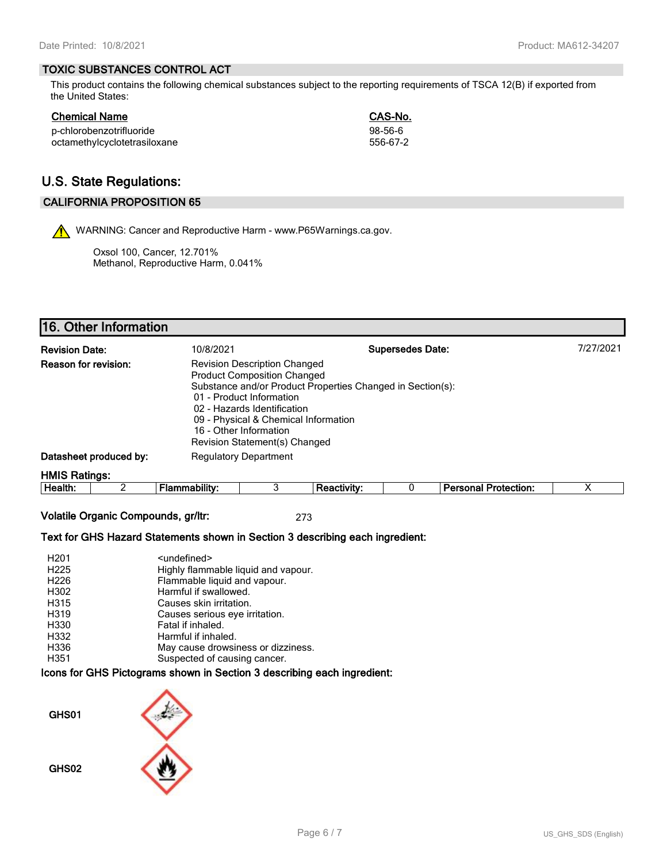### **TOXIC SUBSTANCES CONTROL ACT**

This product contains the following chemical substances subject to the reporting requirements of TSCA 12(B) if exported from the United States:

**Chemical Name CAS-No.**

| <b>Chemical Name</b> |  |
|----------------------|--|
|                      |  |

| p-chlorobenzotrifluoride     | 98-56-6  |
|------------------------------|----------|
| octamethylcyclotetrasiloxane | 556-67-2 |

# **U.S. State Regulations:**

### **CALIFORNIA PROPOSITION 65**

WARNING: Cancer and Reproductive Harm - www.P65Warnings.ca.gov.

Oxsol 100, Cancer, 12.701% Methanol, Reproductive Harm, 0.041%

# **16. Other Information**

| <b>Revision Date:</b>                                                                                                                                                                                                                                                                                                                |  | 10/8/2021            |                    | <b>Supersedes Date:</b> |                             | 7/27/2021 |
|--------------------------------------------------------------------------------------------------------------------------------------------------------------------------------------------------------------------------------------------------------------------------------------------------------------------------------------|--|----------------------|--------------------|-------------------------|-----------------------------|-----------|
| <b>Reason for revision:</b><br><b>Revision Description Changed</b><br><b>Product Composition Changed</b><br>Substance and/or Product Properties Changed in Section(s):<br>01 - Product Information<br>02 - Hazards Identification<br>09 - Physical & Chemical Information<br>16 - Other Information<br>Revision Statement(s) Changed |  |                      |                    |                         |                             |           |
| Datasheet produced by:<br><b>Regulatory Department</b>                                                                                                                                                                                                                                                                               |  |                      |                    |                         |                             |           |
| <b>HMIS Ratings:</b>                                                                                                                                                                                                                                                                                                                 |  |                      |                    |                         |                             |           |
| Health:                                                                                                                                                                                                                                                                                                                              |  | <b>Flammability:</b> | <b>Reactivity:</b> |                         | <b>Personal Protection:</b> | х         |

**Volatile Organic Compounds, gr/ltr:** 273

#### **Text for GHS Hazard Statements shown in Section 3 describing each ingredient:**

| H <sub>201</sub> | <undefined></undefined>             |
|------------------|-------------------------------------|
| H <sub>225</sub> | Highly flammable liquid and vapour. |
| H <sub>226</sub> | Flammable liquid and vapour.        |
| H302             | Harmful if swallowed.               |
| H315             | Causes skin irritation.             |
| H319             | Causes serious eye irritation.      |
| H330             | Fatal if inhaled.                   |
| H332             | Harmful if inhaled.                 |
| H336             | May cause drowsiness or dizziness.  |
| H351             | Suspected of causing cancer.        |

### **Icons for GHS Pictograms shown in Section 3 describing each ingredient:**